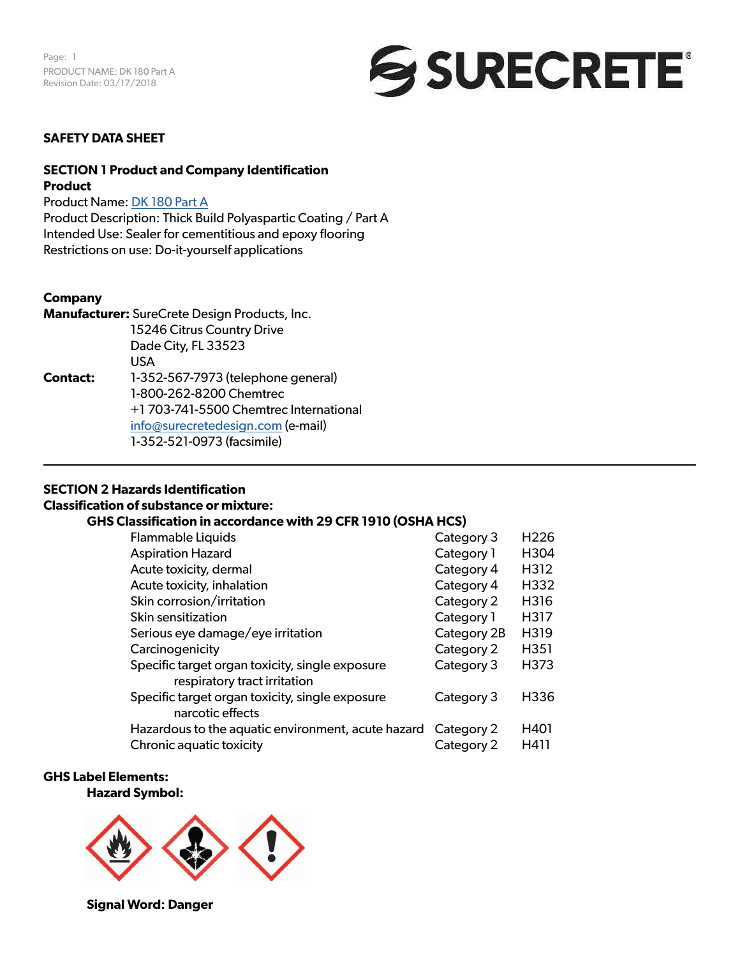

# **SAFETY DATA SHEET**

# **SECTION 1 Product and Company Identification Product**

Product Name: [DK 180 Part A](https://www.surecretedesign.com/product/clear-polyaspartic-floor-coating/) Product Description: Thick Build Polyaspartic Coating / Part A

Intended Use: Sealer for cementitious and epoxy flooring Restrictions on use: Do-it-yourself applications

# **Company**

**Manufacturer:** SureCrete Design Products, Inc. 15246 Citrus Country Drive Dade City, FL 33523 USA **Contact:** 1-352-567-7973 (telephone general) 1-800-262-8200 Chemtrec +1 703-741-5500 Chemtrec International [info@surecretedesign.com](mailto:info%40surecretedesign.com?subject=DK%20180%20Part%20A%20-%20SDS%20Inquiry) (e-mail) 1-352-521-0973 (facsimile)

# **SECTION 2 Hazards Identification**

#### **Classification of substance or mixture:**

#### **GHS Classification in accordance with 29 CFR 1910 (OSHA HCS)**

| <b>Flammable Liquids</b>                           | Category 3  | H <sub>226</sub> |
|----------------------------------------------------|-------------|------------------|
| <b>Aspiration Hazard</b>                           | Category 1  | H304             |
| Acute toxicity, dermal                             | Category 4  | H312             |
| Acute toxicity, inhalation                         | Category 4  | H332             |
| Skin corrosion/irritation                          | Category 2  | H316             |
| Skin sensitization                                 | Category 1  | H317             |
| Serious eye damage/eye irritation                  | Category 2B | H319             |
| Carcinogenicity                                    | Category 2  | H351             |
| Specific target organ toxicity, single exposure    | Category 3  | H373             |
| respiratory tract irritation                       |             |                  |
| Specific target organ toxicity, single exposure    | Category 3  | H336             |
| narcotic effects                                   |             |                  |
| Hazardous to the aquatic environment, acute hazard | Category 2  | H401             |
| Chronic aquatic toxicity                           | Category 2  | H411             |

# **GHS Label Elements:**

**Hazard Symbol:** 



**Signal Word: Danger**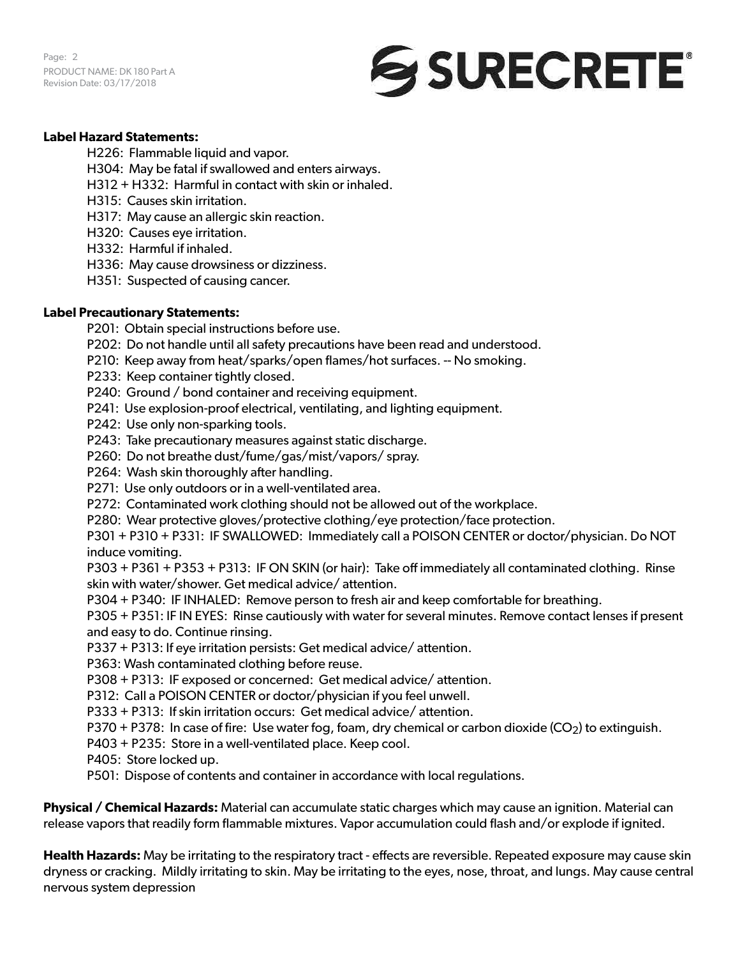Page: 2 PRODUCT NAME: DK 180 Part A Revision Date: 03/17/2018



# **Label Hazard Statements:**

H226: Flammable liquid and vapor.

H304: May be fatal if swallowed and enters airways.

- H312 + H332: Harmful in contact with skin or inhaled.
- H315: Causes skin irritation.
- H317: May cause an allergic skin reaction.
- H320: Causes eye irritation.
- H332: Harmful if inhaled.
- H336: May cause drowsiness or dizziness.
- H351: Suspected of causing cancer.

# **Label Precautionary Statements:**

- P201: Obtain special instructions before use.
- P202: Do not handle until all safety precautions have been read and understood.
- P210: Keep away from heat/sparks/open flames/hot surfaces. -- No smoking.
- P233: Keep container tightly closed.
- P240: Ground / bond container and receiving equipment.
- P241: Use explosion-proof electrical, ventilating, and lighting equipment.
- P242: Use only non-sparking tools.
- P243: Take precautionary measures against static discharge.
- P260: Do not breathe dust/fume/gas/mist/vapors/ spray.
- P264: Wash skin thoroughly after handling.
- P271: Use only outdoors or in a well-ventilated area.
- P272: Contaminated work clothing should not be allowed out of the workplace.
- P280: Wear protective gloves/protective clothing/eye protection/face protection.

P301 + P310 + P331: IF SWALLOWED: Immediately call a POISON CENTER or doctor/physician. Do NOT induce vomiting.

P303 + P361 + P353 + P313: IF ON SKIN (or hair): Take off immediately all contaminated clothing. Rinse skin with water/shower. Get medical advice/ attention.

P304 + P340: IF INHALED: Remove person to fresh air and keep comfortable for breathing.

P305 + P351: IF IN EYES: Rinse cautiously with water for several minutes. Remove contact lenses if present and easy to do. Continue rinsing.

- P337 + P313: If eye irritation persists: Get medical advice/ attention.
- P363: Wash contaminated clothing before reuse.
- P308 + P313: IF exposed or concerned: Get medical advice/ attention.
- P312: Call a POISON CENTER or doctor/physician if you feel unwell.
- P333 + P313: If skin irritation occurs: Get medical advice/ attention.
- P370 + P378: In case of fire: Use water fog, foam, dry chemical or carbon dioxide ( $CO<sub>2</sub>$ ) to extinguish.
- P403 + P235: Store in a well-ventilated place. Keep cool.
- P405: Store locked up.
- P501: Dispose of contents and container in accordance with local regulations.

**Physical / Chemical Hazards:** Material can accumulate static charges which may cause an ignition. Material can release vapors that readily form flammable mixtures. Vapor accumulation could flash and/or explode if ignited.

**Health Hazards:** May be irritating to the respiratory tract - effects are reversible. Repeated exposure may cause skin dryness or cracking. Mildly irritating to skin. May be irritating to the eyes, nose, throat, and lungs. May cause central nervous system depression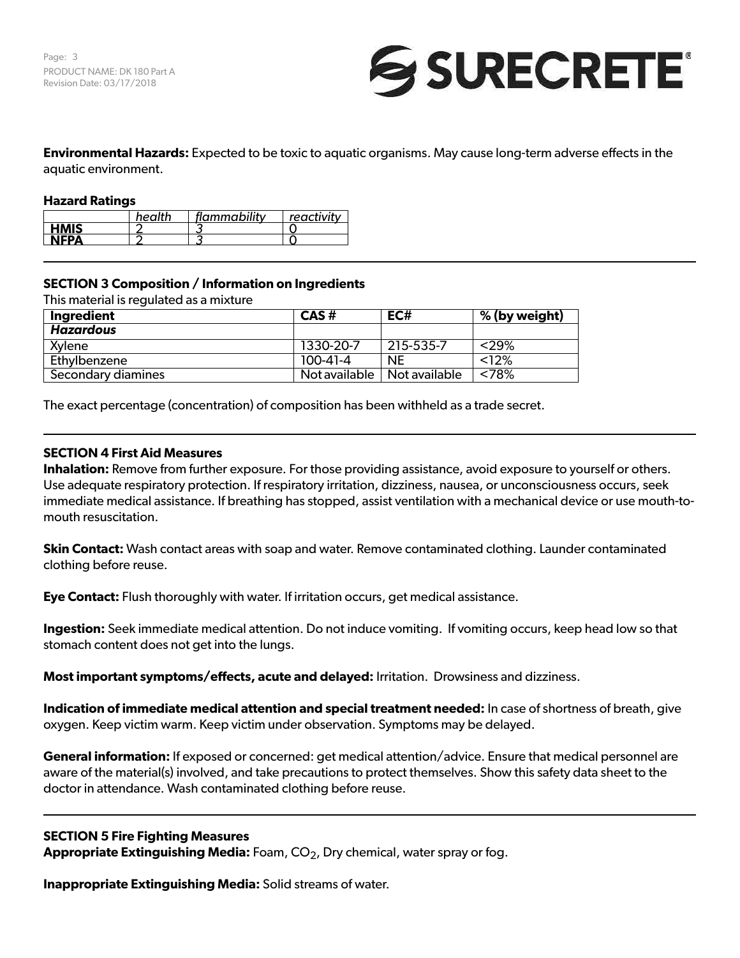

**Environmental Hazards:** Expected to be toxic to aquatic organisms. May cause long-term adverse effects in the aquatic environment.

# **Hazard Ratings**

|             | health | flammability | $^+$ reactivity $\cdot$ |
|-------------|--------|--------------|-------------------------|
| <b>HMIS</b> |        |              |                         |
| NEPA        |        |              |                         |

# **SECTION 3 Composition / Information on Ingredients**

This material is regulated as a mixture

| Ingredient         | $CAS \#$       | EC#                           | % (by weight) |
|--------------------|----------------|-------------------------------|---------------|
| <b>Hazardous</b>   |                |                               |               |
| Xylene             | 1330-20-7      | 215-535-7                     | <29%          |
| Ethylbenzene       | $100 - 41 - 4$ | <b>NE</b>                     | < 12%         |
| Secondary diamines |                | Not available   Not available | $<78\%$       |

The exact percentage (concentration) of composition has been withheld as a trade secret.

# **SECTION 4 First Aid Measures**

**Inhalation:** Remove from further exposure. For those providing assistance, avoid exposure to yourself or others. Use adequate respiratory protection. If respiratory irritation, dizziness, nausea, or unconsciousness occurs, seek immediate medical assistance. If breathing has stopped, assist ventilation with a mechanical device or use mouth-tomouth resuscitation.

**Skin Contact:** Wash contact areas with soap and water. Remove contaminated clothing. Launder contaminated clothing before reuse.

**Eye Contact:** Flush thoroughly with water. If irritation occurs, get medical assistance.

**Ingestion:** Seek immediate medical attention. Do not induce vomiting. If vomiting occurs, keep head low so that stomach content does not get into the lungs.

**Most important symptoms/effects, acute and delayed:** Irritation. Drowsiness and dizziness.

**Indication of immediate medical attention and special treatment needed:** In case of shortness of breath, give oxygen. Keep victim warm. Keep victim under observation. Symptoms may be delayed.

**General information:** If exposed or concerned: get medical attention/advice. Ensure that medical personnel are aware of the material(s) involved, and take precautions to protect themselves. Show this safety data sheet to the doctor in attendance. Wash contaminated clothing before reuse.

#### **SECTION 5 Fire Fighting Measures**

**Appropriate Extinguishing Media:** Foam, CO<sub>2</sub>, Dry chemical, water spray or fog.

**Inappropriate Extinguishing Media:** Solid streams of water.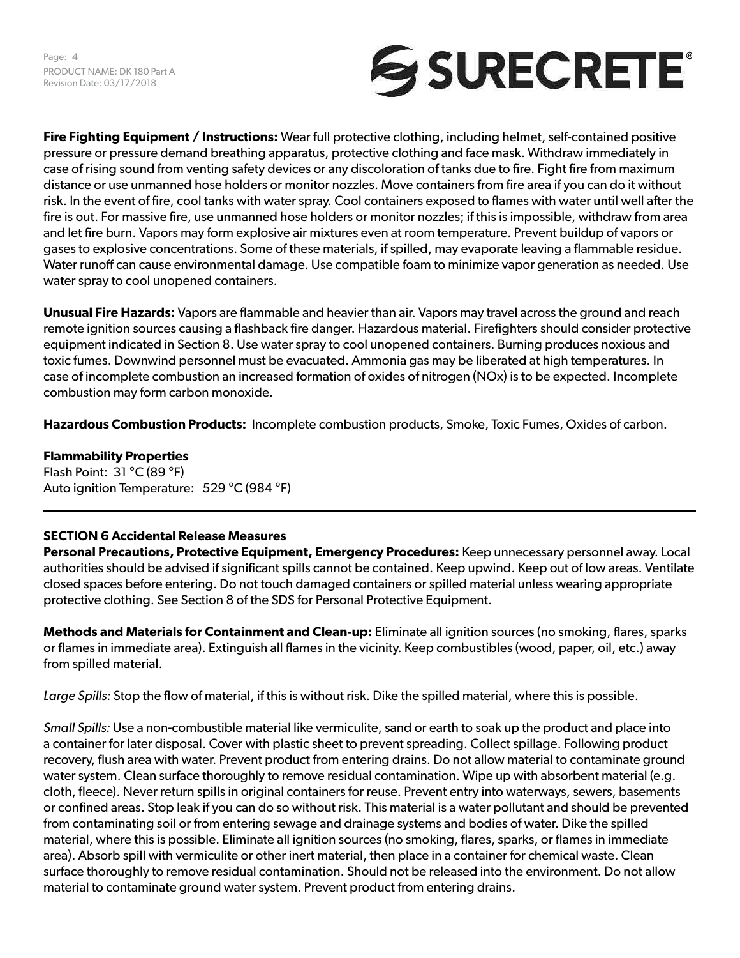Page: 4 PRODUCT NAME: DK 180 Part A Revision Date: 03/17/2018



**Fire Fighting Equipment / Instructions:** Wear full protective clothing, including helmet, self-contained positive pressure or pressure demand breathing apparatus, protective clothing and face mask. Withdraw immediately in case of rising sound from venting safety devices or any discoloration of tanks due to fire. Fight fire from maximum distance or use unmanned hose holders or monitor nozzles. Move containers from fire area if you can do it without risk. In the event of fire, cool tanks with water spray. Cool containers exposed to flames with water until well after the fire is out. For massive fire, use unmanned hose holders or monitor nozzles; if this is impossible, withdraw from area and let fire burn. Vapors may form explosive air mixtures even at room temperature. Prevent buildup of vapors or gases to explosive concentrations. Some of these materials, if spilled, may evaporate leaving a flammable residue. Water runoff can cause environmental damage. Use compatible foam to minimize vapor generation as needed. Use water spray to cool unopened containers.

**Unusual Fire Hazards:** Vapors are flammable and heavier than air. Vapors may travel across the ground and reach remote ignition sources causing a flashback fire danger. Hazardous material. Firefighters should consider protective equipment indicated in Section 8. Use water spray to cool unopened containers. Burning produces noxious and toxic fumes. Downwind personnel must be evacuated. Ammonia gas may be liberated at high temperatures. In case of incomplete combustion an increased formation of oxides of nitrogen (NOx) is to be expected. Incomplete combustion may form carbon monoxide.

**Hazardous Combustion Products:** Incomplete combustion products, Smoke, Toxic Fumes, Oxides of carbon.

**Flammability Properties** Flash Point: 31 °C (89 °F) Auto ignition Temperature: 529 °C (984 °F)

# **SECTION 6 Accidental Release Measures**

**Personal Precautions, Protective Equipment, Emergency Procedures:** Keep unnecessary personnel away. Local authorities should be advised if significant spills cannot be contained. Keep upwind. Keep out of low areas. Ventilate closed spaces before entering. Do not touch damaged containers or spilled material unless wearing appropriate protective clothing. See Section 8 of the SDS for Personal Protective Equipment.

**Methods and Materials for Containment and Clean-up:** Eliminate all ignition sources (no smoking, flares, sparks or flames in immediate area). Extinguish all flames in the vicinity. Keep combustibles (wood, paper, oil, etc.) away from spilled material.

*Large Spills:* Stop the flow of material, if this is without risk. Dike the spilled material, where this is possible.

*Small Spills:* Use a non-combustible material like vermiculite, sand or earth to soak up the product and place into a container for later disposal. Cover with plastic sheet to prevent spreading. Collect spillage. Following product recovery, flush area with water. Prevent product from entering drains. Do not allow material to contaminate ground water system. Clean surface thoroughly to remove residual contamination. Wipe up with absorbent material (e.g. cloth, fleece). Never return spills in original containers for reuse. Prevent entry into waterways, sewers, basements or confined areas. Stop leak if you can do so without risk. This material is a water pollutant and should be prevented from contaminating soil or from entering sewage and drainage systems and bodies of water. Dike the spilled material, where this is possible. Eliminate all ignition sources (no smoking, flares, sparks, or flames in immediate area). Absorb spill with vermiculite or other inert material, then place in a container for chemical waste. Clean surface thoroughly to remove residual contamination. Should not be released into the environment. Do not allow material to contaminate ground water system. Prevent product from entering drains.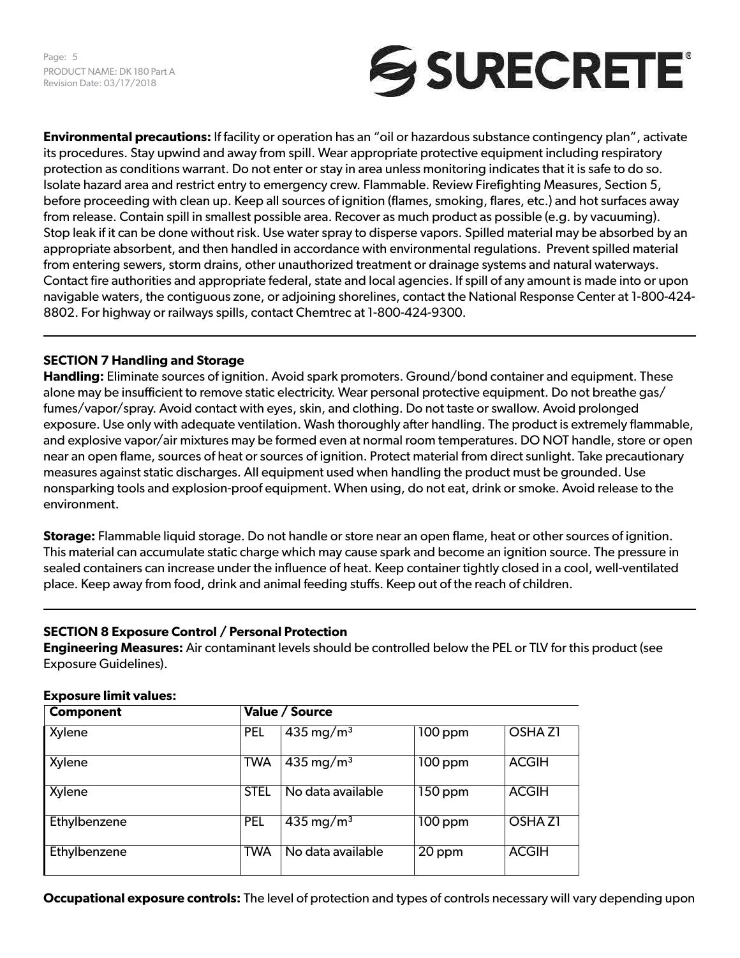Page: 5 PRODUCT NAME: DK 180 Part A Revision Date: 03/17/2018



**Environmental precautions:** If facility or operation has an "oil or hazardous substance contingency plan", activate its procedures. Stay upwind and away from spill. Wear appropriate protective equipment including respiratory protection as conditions warrant. Do not enter or stay in area unless monitoring indicates that it is safe to do so. Isolate hazard area and restrict entry to emergency crew. Flammable. Review Firefighting Measures, Section 5, before proceeding with clean up. Keep all sources of ignition (flames, smoking, flares, etc.) and hot surfaces away from release. Contain spill in smallest possible area. Recover as much product as possible (e.g. by vacuuming). Stop leak if it can be done without risk. Use water spray to disperse vapors. Spilled material may be absorbed by an appropriate absorbent, and then handled in accordance with environmental regulations. Prevent spilled material from entering sewers, storm drains, other unauthorized treatment or drainage systems and natural waterways. Contact fire authorities and appropriate federal, state and local agencies. If spill of any amount is made into or upon navigable waters, the contiguous zone, or adjoining shorelines, contact the National Response Center at 1-800-424- 8802. For highway or railways spills, contact Chemtrec at 1-800-424-9300.

# **SECTION 7 Handling and Storage**

**Handling:** Eliminate sources of ignition. Avoid spark promoters. Ground/bond container and equipment. These alone may be insufficient to remove static electricity. Wear personal protective equipment. Do not breathe gas/ fumes/vapor/spray. Avoid contact with eyes, skin, and clothing. Do not taste or swallow. Avoid prolonged exposure. Use only with adequate ventilation. Wash thoroughly after handling. The product is extremely flammable, and explosive vapor/air mixtures may be formed even at normal room temperatures. DO NOT handle, store or open near an open flame, sources of heat or sources of ignition. Protect material from direct sunlight. Take precautionary measures against static discharges. All equipment used when handling the product must be grounded. Use nonsparking tools and explosion-proof equipment. When using, do not eat, drink or smoke. Avoid release to the environment.

**Storage:** Flammable liquid storage. Do not handle or store near an open flame, heat or other sources of ignition. This material can accumulate static charge which may cause spark and become an ignition source. The pressure in sealed containers can increase under the influence of heat. Keep container tightly closed in a cool, well-ventilated place. Keep away from food, drink and animal feeding stuffs. Keep out of the reach of children.

# **SECTION 8 Exposure Control / Personal Protection**

**Engineering Measures:** Air contaminant levels should be controlled below the PEL or TLV for this product (see Exposure Guidelines).

| <b>Component</b> |             | Value / Source          |           |                    |
|------------------|-------------|-------------------------|-----------|--------------------|
| Xylene           | <b>PEL</b>  | $435 \,\mathrm{mg/m^3}$ | $100$ ppm | OSHA <sub>Z1</sub> |
| Xylene           | <b>TWA</b>  | $435 \,\mathrm{mg/m^3}$ | $100$ ppm | <b>ACGIH</b>       |
| Xylene           | <b>STEL</b> | No data available       | $150$ ppm | <b>ACGIH</b>       |
| Ethylbenzene     | <b>PEL</b>  | $435 \,\mathrm{mg/m^3}$ | $100$ ppm | OSHA <sub>Z1</sub> |
| Ethylbenzene     | <b>TWA</b>  | No data available       | 20 ppm    | <b>ACGIH</b>       |

# **Exposure limit values:**

**Occupational exposure controls:** The level of protection and types of controls necessary will vary depending upon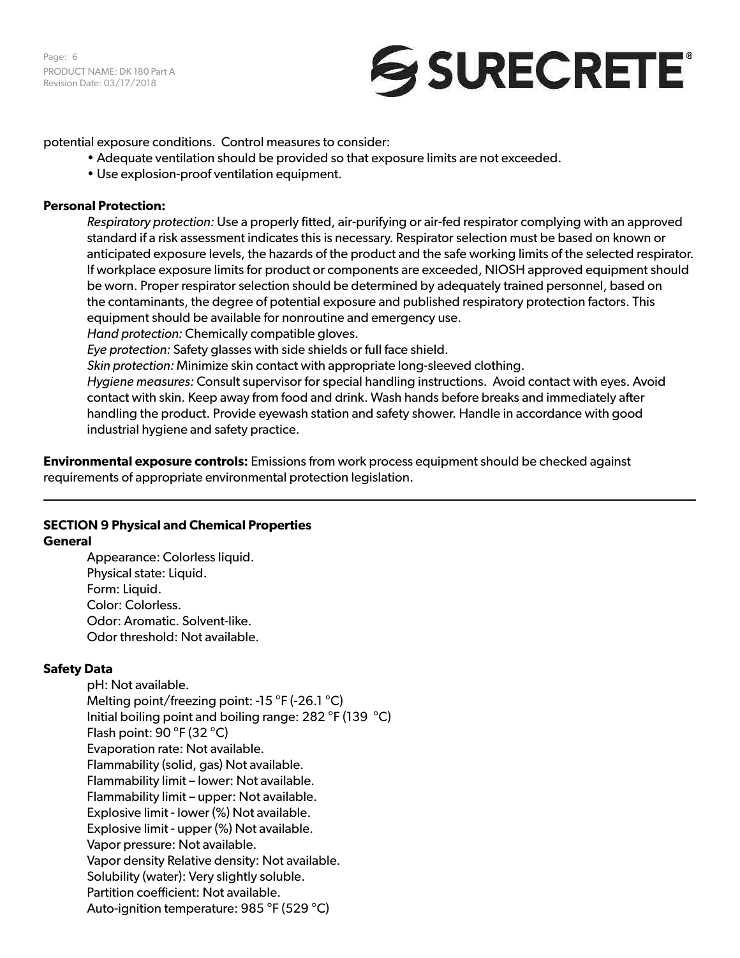Page: 6 PRODUCT NAME: DK 180 Part A Revision Date: 03/17/2018

# SURECRETE®

potential exposure conditions. Control measures to consider:

- Adequate ventilation should be provided so that exposure limits are not exceeded.
- Use explosion-proof ventilation equipment.

# **Personal Protection:**

*Respiratory protection:* Use a properly fitted, air-purifying or air-fed respirator complying with an approved standard if a risk assessment indicates this is necessary. Respirator selection must be based on known or anticipated exposure levels, the hazards of the product and the safe working limits of the selected respirator. If workplace exposure limits for product or components are exceeded, NIOSH approved equipment should be worn. Proper respirator selection should be determined by adequately trained personnel, based on the contaminants, the degree of potential exposure and published respiratory protection factors. This equipment should be available for nonroutine and emergency use.

*Hand protection:* Chemically compatible gloves.

*Eye protection:* Safety glasses with side shields or full face shield.

*Skin protection:* Minimize skin contact with appropriate long-sleeved clothing.

*Hygiene measures:* Consult supervisor for special handling instructions. Avoid contact with eyes. Avoid contact with skin. Keep away from food and drink. Wash hands before breaks and immediately after handling the product. Provide eyewash station and safety shower. Handle in accordance with good industrial hygiene and safety practice.

**Environmental exposure controls:** Emissions from work process equipment should be checked against requirements of appropriate environmental protection legislation.

#### **SECTION 9 Physical and Chemical Properties General**

Appearance: Colorless liquid. Physical state: Liquid. Form: Liquid. Color: Colorless. Odor: Aromatic. Solvent-like. Odor threshold: Not available.

# **Safety Data**

pH: Not available. Melting point/freezing point: -15 °F (-26.1 °C) Initial boiling point and boiling range: 282 °F (139 °C) Flash point: 90 °F (32 °C) Evaporation rate: Not available. Flammability (solid, gas) Not available. Flammability limit – lower: Not available. Flammability limit – upper: Not available. Explosive limit - lower (%) Not available. Explosive limit - upper (%) Not available. Vapor pressure: Not available. Vapor density Relative density: Not available. Solubility (water): Very slightly soluble. Partition coefficient: Not available. Auto-ignition temperature: 985 °F (529 °C)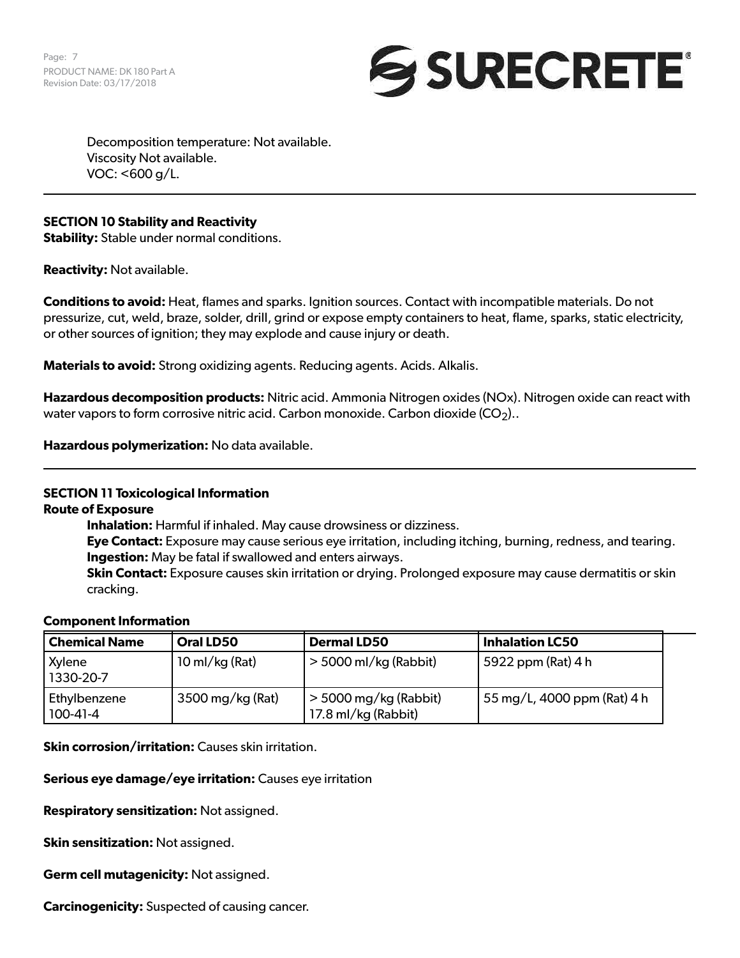Page: 7 PRODUCT NAME: DK 180 Part A Revision Date: 03/17/2018



Decomposition temperature: Not available. Viscosity Not available. VOC: <600 g/L.

# **SECTION 10 Stability and Reactivity**

**Stability:** Stable under normal conditions.

**Reactivity:** Not available.

**Conditions to avoid:** Heat, flames and sparks. Ignition sources. Contact with incompatible materials. Do not pressurize, cut, weld, braze, solder, drill, grind or expose empty containers to heat, flame, sparks, static electricity, or other sources of ignition; they may explode and cause injury or death.

**Materials to avoid:** Strong oxidizing agents. Reducing agents. Acids. Alkalis.

**Hazardous decomposition products:** Nitric acid. Ammonia Nitrogen oxides (NOx). Nitrogen oxide can react with water vapors to form corrosive nitric acid. Carbon monoxide. Carbon dioxide  $(CO<sub>2</sub>)$ .

**Hazardous polymerization:** No data available.

#### **SECTION 11 Toxicological Information**

**Route of Exposure**

**Inhalation:** Harmful if inhaled. May cause drowsiness or dizziness.

**Eye Contact:** Exposure may cause serious eye irritation, including itching, burning, redness, and tearing. **Ingestion:** May be fatal if swallowed and enters airways.

**Skin Contact:** Exposure causes skin irritation or drying. Prolonged exposure may cause dermatitis or skin cracking.

#### **Component Information**

| <b>Chemical Name</b>       | <b>Oral LD50</b>         | <b>Dermal LD50</b>                             | <b>Inhalation LC50</b>           |
|----------------------------|--------------------------|------------------------------------------------|----------------------------------|
| Xylene<br>1330-20-7        | $10 \text{ ml/kg}$ (Rat) | $>$ 5000 ml/kg (Rabbit)                        | $\frac{1}{2}$ 5922 ppm (Rat) 4 h |
| Ethylbenzene<br>$100-41-4$ | 3500 mg/kg (Rat)         | $>$ 5000 mg/kg (Rabbit)<br>17.8 ml/kg (Rabbit) | 55 mg/L, 4000 ppm (Rat) 4 h      |

**Skin corrosion/irritation:** Causes skin irritation.

**Serious eye damage/eye irritation:** Causes eye irritation

**Respiratory sensitization:** Not assigned.

**Skin sensitization:** Not assigned.

**Germ cell mutagenicity:** Not assigned.

**Carcinogenicity:** Suspected of causing cancer.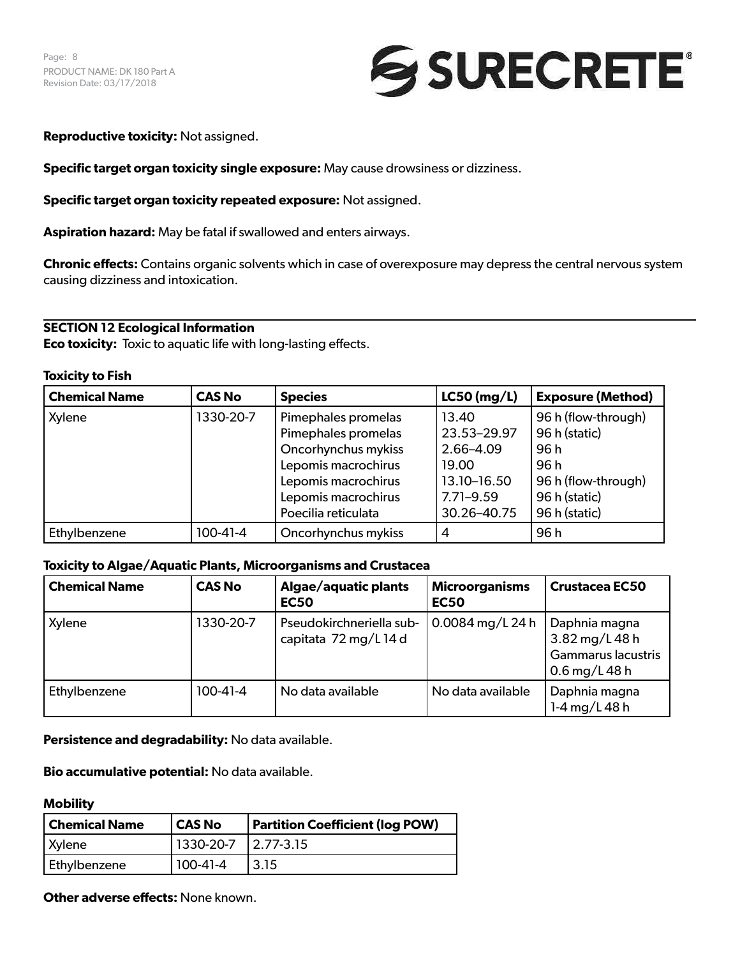

**Reproductive toxicity:** Not assigned.

**Specific target organ toxicity single exposure:** May cause drowsiness or dizziness.

**Specific target organ toxicity repeated exposure:** Not assigned.

**Aspiration hazard:** May be fatal if swallowed and enters airways.

**Chronic effects:** Contains organic solvents which in case of overexposure may depress the central nervous system causing dizziness and intoxication.

# **SECTION 12 Ecological Information**

**Eco toxicity:** Toxic to aquatic life with long-lasting effects.

#### **Toxicity to Fish**

| <b>Chemical Name</b> | <b>CAS No</b> | <b>Species</b>      | $LC50$ (mg/L) | <b>Exposure (Method)</b> |
|----------------------|---------------|---------------------|---------------|--------------------------|
| Xylene               | 1330-20-7     | Pimephales promelas | 13.40         | 96 h (flow-through)      |
|                      |               | Pimephales promelas | 23.53-29.97   | 96 h (static)            |
|                      |               | Oncorhynchus mykiss | 2.66-4.09     | 96 h                     |
|                      |               | Lepomis macrochirus | 19.00         | 96 h                     |
|                      |               | Lepomis macrochirus | 13.10-16.50   | 96 h (flow-through)      |
|                      |               | Lepomis macrochirus | $7.71 - 9.59$ | 96 h (static)            |
|                      |               | Poecilia reticulata | 30.26-40.75   | 96 h (static)            |
| Ethylbenzene         | $100-41-4$    | Oncorhynchus mykiss | 4             | 96 h                     |

#### **Toxicity to Algae/Aquatic Plants, Microorganisms and Crustacea**

| <b>Chemical Name</b> | <b>CAS No</b>  | Algae/aquatic plants<br><b>EC50</b>               | <b>Microorganisms</b><br><b>EC50</b> | <b>Crustacea EC50</b>                                                         |
|----------------------|----------------|---------------------------------------------------|--------------------------------------|-------------------------------------------------------------------------------|
| Xylene               | 1330-20-7      | Pseudokirchneriella sub-<br>capitata 72 mg/L 14 d | 0.0084 mg/L 24 h                     | Daphnia magna<br>3.82 mg/L 48 h<br><b>Gammarus lacustris</b><br>0.6 mg/L 48 h |
| Ethylbenzene         | $100 - 41 - 4$ | No data available                                 | No data available                    | Daphnia magna<br>1-4 mg/L 48 h                                                |

**Persistence and degradability:** No data available.

**Bio accumulative potential:** No data available.

#### **Mobility**

| <b>Chemical Name</b> | CAS No                | <b>Partition Coefficient (log POW)</b> |
|----------------------|-----------------------|----------------------------------------|
| <b>Xylene</b>        | 1330-20-7   2.77-3.15 |                                        |
| Ethylbenzene         | $100-41-4$            | 3.15                                   |

**Other adverse effects:** None known.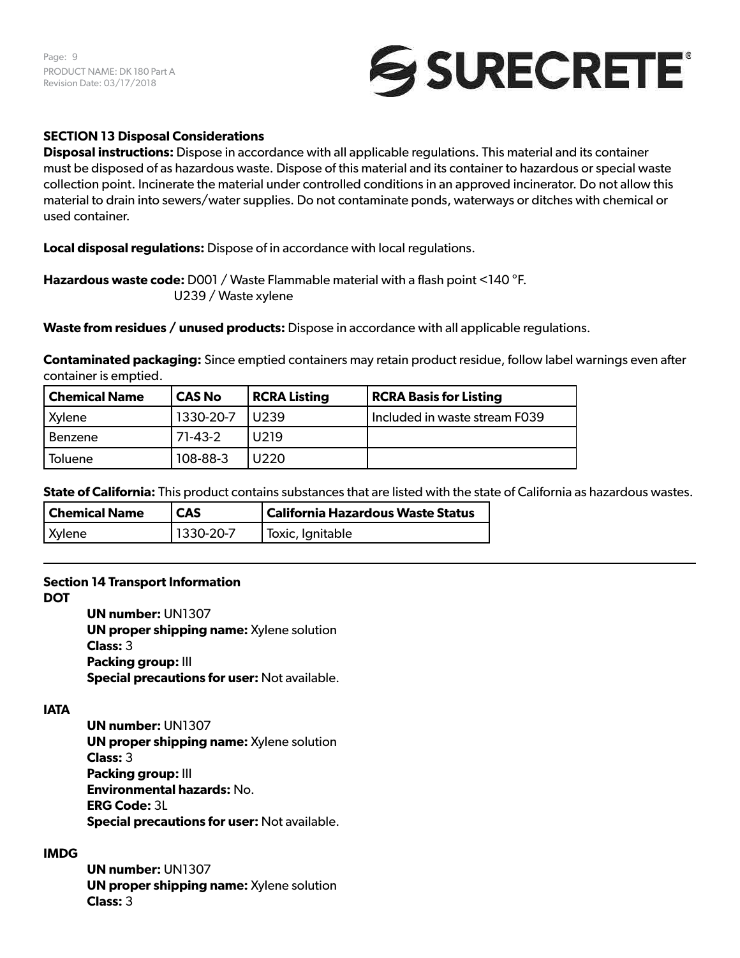Page: 9 PRODUCT NAME: DK 180 Part A Revision Date: 03/17/2018



# **SECTION 13 Disposal Considerations**

**Disposal instructions:** Dispose in accordance with all applicable regulations. This material and its container must be disposed of as hazardous waste. Dispose of this material and its container to hazardous or special waste collection point. Incinerate the material under controlled conditions in an approved incinerator. Do not allow this material to drain into sewers/water supplies. Do not contaminate ponds, waterways or ditches with chemical or used container.

**Local disposal regulations:** Dispose of in accordance with local regulations.

**Hazardous waste code:** D001 / Waste Flammable material with a flash point <140 °F. U239 / Waste xylene

**Waste from residues / unused products:** Dispose in accordance with all applicable regulations.

**Contaminated packaging:** Since emptied containers may retain product residue, follow label warnings even after container is emptied.

| Chemical Name  | <b>CAS No</b> | <b>RCRA Listing</b> | <b>RCRA Basis for Listing</b> |
|----------------|---------------|---------------------|-------------------------------|
| Xylene         | 1330-20-7     | 11239               | Included in waste stream F039 |
| Benzene        | $71-43-2$     | U <sub>2</sub> 19   |                               |
| <b>Toluene</b> | 108-88-3      | U220                |                               |

**State of California:** This product contains substances that are listed with the state of California as hazardous wastes.

| <b>Chemical Name</b> | <b>CAS</b> | California Hazardous Waste Status |
|----------------------|------------|-----------------------------------|
| Xylene               | 1330-20-7  | l Toxic, Ignitable                |

# **Section 14 Transport Information**

**DOT**

**UN number:** UN1307 **UN proper shipping name:** Xylene solution **Class:** 3 **Packing group:** III **Special precautions for user:** Not available.

# **IATA**

**UN number:** UN1307 **UN proper shipping name:** Xylene solution **Class:** 3 **Packing group:** III **Environmental hazards:** No. **ERG Code:** 3L **Special precautions for user:** Not available.

# **IMDG**

**UN number:** UN1307 **UN proper shipping name:** Xylene solution **Class:** 3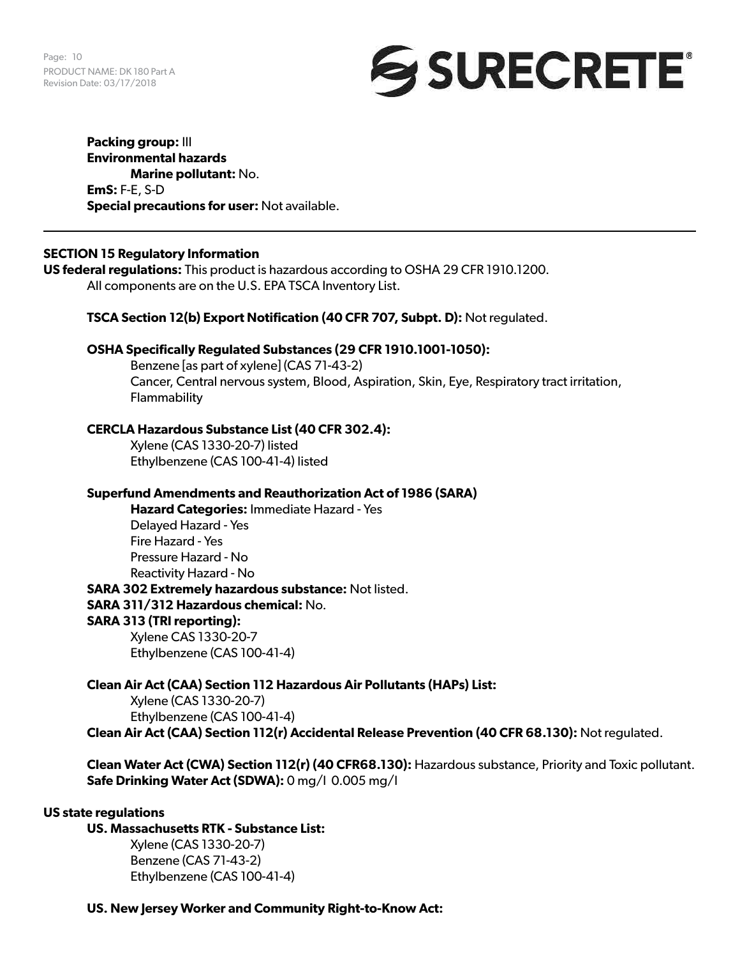Page: 10 PRODUCT NAME: DK 180 Part A Revision Date: 03/17/2018



**Packing group:** III **Environmental hazards Marine pollutant:** No. **EmS:** F-E, S-D **Special precautions for user:** Not available.

# **SECTION 15 Regulatory Information**

**US federal regulations:** This product is hazardous according to OSHA 29 CFR 1910.1200. All components are on the U.S. EPA TSCA Inventory List.

#### **TSCA Section 12(b) Export Notification (40 CFR 707, Subpt. D):** Not regulated.

#### **OSHA Specifically Regulated Substances (29 CFR 1910.1001-1050):**

Benzene [as part of xylene] (CAS 71-43-2) Cancer, Central nervous system, Blood, Aspiration, Skin, Eye, Respiratory tract irritation, **Flammability** 

#### **CERCLA Hazardous Substance List (40 CFR 302.4):**

Xylene (CAS 1330-20-7) listed Ethylbenzene (CAS 100-41-4) listed

#### **Superfund Amendments and Reauthorization Act of 1986 (SARA)**

**Hazard Categories:** Immediate Hazard - Yes Delayed Hazard - Yes Fire Hazard - Yes Pressure Hazard - No Reactivity Hazard - No **SARA 302 Extremely hazardous substance:** Not listed. **SARA 311/312 Hazardous chemical:** No. **SARA 313 (TRI reporting):** Xylene CAS 1330-20-7 Ethylbenzene (CAS 100-41-4)

**Clean Air Act (CAA) Section 112 Hazardous Air Pollutants (HAPs) List:** Xylene (CAS 1330-20-7) Ethylbenzene (CAS 100-41-4) **Clean Air Act (CAA) Section 112(r) Accidental Release Prevention (40 CFR 68.130):** Not regulated.

**Clean Water Act (CWA) Section 112(r) (40 CFR68.130):** Hazardous substance, Priority and Toxic pollutant. **Safe Drinking Water Act (SDWA):** 0 mg/l 0.005 mg/l

#### **US state regulations**

# **US. Massachusetts RTK - Substance List:**

Xylene (CAS 1330-20-7) Benzene (CAS 71-43-2) Ethylbenzene (CAS 100-41-4)

**US. New Jersey Worker and Community Right-to-Know Act:**